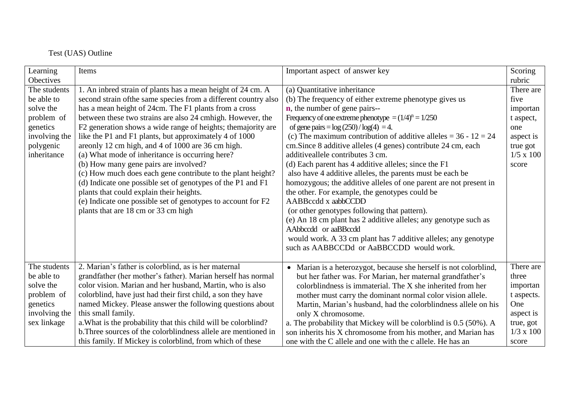## Test (UAS) Outline

| Learning         | Items                                                           | Important aspect of answer key                                    | Scoring          |
|------------------|-----------------------------------------------------------------|-------------------------------------------------------------------|------------------|
| <b>Obectives</b> |                                                                 |                                                                   | rubric           |
| The students     | 1. An inbred strain of plants has a mean height of 24 cm. A     | (a) Quantitative inheritance                                      | There are        |
| be able to       | second strain of the same species from a different country also | (b) The frequency of either extreme phenotype gives us            | five             |
| solve the        | has a mean height of 24cm. The F1 plants from a cross           | <b>n</b> , the number of gene pairs--                             | importan         |
| problem of       | between these two strains are also 24 cmhigh. However, the      | Frequency of one extreme phenotype $=(1/4)^n = 1/250$             | t aspect,        |
| genetics         | F2 generation shows a wide range of heights; the majority are   | of gene pairs = $log(250)/log(4) = 4$ .                           | one              |
| involving the    | like the P1 and F1 plants, but approximately 4 of 1000          | (c) The maximum contribution of additive alleles = $36 - 12 = 24$ | aspect is        |
| polygenic        | are only 12 cm high, and 4 of 1000 are 36 cm high.              | cm.Since 8 additive alleles (4 genes) contribute 24 cm, each      | true got         |
| inheritance      | (a) What mode of inheritance is occurring here?                 | additiveallele contributes 3 cm.                                  | $1/5 \times 100$ |
|                  | (b) How many gene pairs are involved?                           | (d) Each parent has 4 additive alleles; since the F1              | score            |
|                  | (c) How much does each gene contribute to the plant height?     | also have 4 additive alleles, the parents must be each be         |                  |
|                  | (d) Indicate one possible set of genotypes of the P1 and F1     | homozygous; the additive alleles of one parent are not present in |                  |
|                  | plants that could explain their heights.                        | the other. For example, the genotypes could be                    |                  |
|                  | (e) Indicate one possible set of genotypes to account for F2    | AABBccdd x aabbCCDD                                               |                  |
|                  | plants that are 18 cm or 33 cm high                             | (or other genotypes following that pattern).                      |                  |
|                  |                                                                 | (e) An 18 cm plant has 2 additive alleles; any genotype such as   |                  |
|                  |                                                                 | AAbbccdd or aaBBccdd                                              |                  |
|                  |                                                                 | would work. A 33 cm plant has 7 additive alleles; any genotype    |                  |
|                  |                                                                 | such as AABBCCDd or AaBBCCDD would work.                          |                  |
|                  |                                                                 |                                                                   |                  |
| The students     | 2. Marian's father is colorblind, as is her maternal            | • Marian is a heterozygot, because she herself is not colorblind, | There are        |
| be able to       | grandfather (her mother's father). Marian herself has normal    | but her father was. For Marian, her maternal grandfather's        | three            |
| solve the        | color vision. Marian and her husband, Martin, who is also       | colorblindness is immaterial. The X she inherited from her        | importan         |
| problem of       | colorblind, have just had their first child, a son they have    | mother must carry the dominant normal color vision allele.        | t aspects.       |
| genetics         | named Mickey. Please answer the following questions about       | Martin, Marian's husband, had the colorblindness allele on his    | One              |
| involving the    | this small family.                                              | only X chromosome.                                                | aspect is        |
| sex linkage      | a. What is the probability that this child will be colorblind?  | a. The probability that Mickey will be colorblind is 0.5 (50%). A | true, got        |
|                  | b. Three sources of the colorblindness allele are mentioned in  | son inherits his X chromosome from his mother, and Marian has     | $1/3 \times 100$ |
|                  | this family. If Mickey is colorblind, from which of these       | one with the C allele and one with the c allele. He has an        | score            |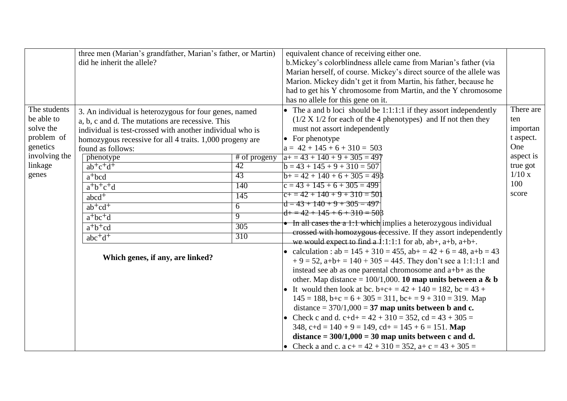|                                                                   | three men (Marian's grandfather, Marian's father, or Martin)<br>did he inherit the allele?                                                                                                                                                               |                     | equivalent chance of receiving either one.<br>b. Mickey's colorblindness allele came from Marian's father (via<br>Marian herself, of course. Mickey's direct source of the allele was<br>Marion. Mickey didn't get it from Martin, his father, because he<br>had to get his Y chromosome from Martin, and the Y chromosome                                                                                                                                                                                                                                                                                                                                                                                                                                     |                                                  |
|-------------------------------------------------------------------|----------------------------------------------------------------------------------------------------------------------------------------------------------------------------------------------------------------------------------------------------------|---------------------|----------------------------------------------------------------------------------------------------------------------------------------------------------------------------------------------------------------------------------------------------------------------------------------------------------------------------------------------------------------------------------------------------------------------------------------------------------------------------------------------------------------------------------------------------------------------------------------------------------------------------------------------------------------------------------------------------------------------------------------------------------------|--------------------------------------------------|
| The students<br>be able to<br>solve the<br>problem of<br>genetics | 3. An individual is heterozygous for four genes, named<br>a, b, c and d. The mutations are recessive. This<br>individual is test-crossed with another individual who is<br>homozygous recessive for all 4 traits. 1,000 progeny are<br>found as follows: |                     | has no allele for this gene on it.<br>• The a and b loci should be 1:1:1:1 if they assort independently<br>$(1/2 X 1/2$ for each of the 4 phenotypes) and If not then they<br>must not assort independently<br>$\bullet$ For phenotype<br>$a = 42 + 145 + 6 + 310 = 503$                                                                                                                                                                                                                                                                                                                                                                                                                                                                                       | There are<br>ten<br>importan<br>t aspect.<br>One |
| involving the                                                     | phenotype                                                                                                                                                                                                                                                | $#$ of progeny      | $a+=43+140+9+305=497$                                                                                                                                                                                                                                                                                                                                                                                                                                                                                                                                                                                                                                                                                                                                          | aspect is                                        |
| linkage<br>genes                                                  | $ab+c+d+$<br>$a^{+}$ bcd                                                                                                                                                                                                                                 | 42<br>43            | $b = 43 + 145 + 9 + 310 = 507$<br>$b+ = 42 + 140 + 6 + 305 = 498$                                                                                                                                                                                                                                                                                                                                                                                                                                                                                                                                                                                                                                                                                              | true got<br>1/10x                                |
|                                                                   | $a^+b^+c^+d$                                                                                                                                                                                                                                             | 140                 | $c = 43 + 145 + 6 + 305 = 499$                                                                                                                                                                                                                                                                                                                                                                                                                                                                                                                                                                                                                                                                                                                                 | 100                                              |
|                                                                   | $abcd$ <sup>+</sup>                                                                                                                                                                                                                                      | 145                 | $c+ = 42 + 140 + 9 + 310 = 50$<br>$\frac{1}{6} = 43 + 140 + 9 + 305 = 497$                                                                                                                                                                                                                                                                                                                                                                                                                                                                                                                                                                                                                                                                                     | score                                            |
|                                                                   | $ab + cd +$                                                                                                                                                                                                                                              | 6<br>$\overline{9}$ | $d+ = 42 + 145 + 6 + 310 = 508$                                                                                                                                                                                                                                                                                                                                                                                                                                                                                                                                                                                                                                                                                                                                |                                                  |
|                                                                   | $a^+bc^+d$                                                                                                                                                                                                                                               | 305                 | • In all cases the a 1:1 which implies a heterozygous individual                                                                                                                                                                                                                                                                                                                                                                                                                                                                                                                                                                                                                                                                                               |                                                  |
|                                                                   | $a^+b^+cd$<br>$abc+d+$                                                                                                                                                                                                                                   | 310                 | crossed with homozygous recessive. If they assort independently                                                                                                                                                                                                                                                                                                                                                                                                                                                                                                                                                                                                                                                                                                |                                                  |
|                                                                   | Which genes, if any, are linked?                                                                                                                                                                                                                         |                     | we would expect to find a $\frac{1}{1!}$ :1:1:1 for ab, ab+, a+b, a+b+.<br>• calculation : $ab = 145 + 310 = 455$ , $ab + = 42 + 6 = 48$ , $a+b = 43$<br>$+9 = 52$ , a+b+ = 140 + 305 = 445. They don't see a 1:1:1:1 and<br>instead see ab as one parental chromosome and $a+b+$ as the<br>other. Map distance = $100/1,000$ . 10 map units between a & b<br>• It would then look at bc. b+c+ = $42 + 140 = 182$ , bc = $43 +$<br>$145 = 188$ , $b+c = 6 + 305 = 311$ , $bc+c = 9 + 310 = 319$ . Map<br>distance = $370/1,000 = 37$ map units between b and c.<br>Check c and d. $c+d+ = 42 + 310 = 352$ , cd = 43 + 305 =<br>$\bullet$<br>348, c+d = $140 + 9 = 149$ , cd+ = $145 + 6 = 151$ . Map<br>distance = $300/1,000 = 30$ map units between c and d. |                                                  |
|                                                                   |                                                                                                                                                                                                                                                          |                     | • Check a and c. a c+ = $42 + 310 = 352$ , a+ c = $43 + 305 =$                                                                                                                                                                                                                                                                                                                                                                                                                                                                                                                                                                                                                                                                                                 |                                                  |